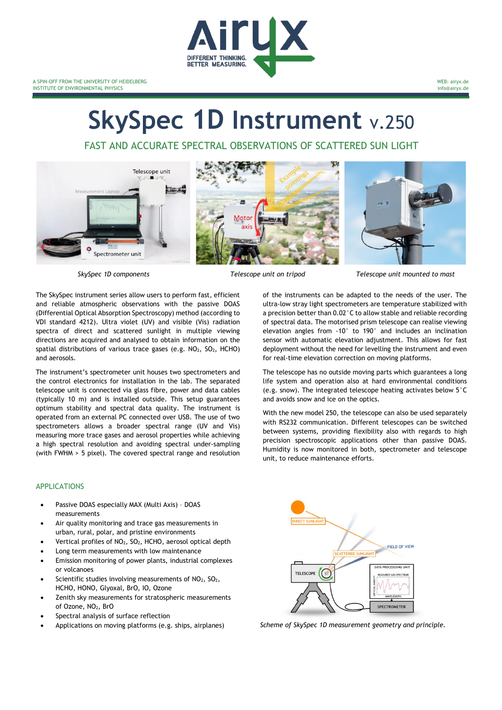

# **SkySpec 1D Instrument** v.250

FAST AND ACCURATE SPECTRAL OBSERVATIONS OF SCATTERED SUN LIGHT



The SkySpec instrument series allow users to perform fast, efficient and reliable atmospheric observations with the passive DOAS (Differential Optical Absorption Spectroscopy) method (according to VDI standard 4212). Ultra violet (UV) and visible (Vis) radiation spectra of direct and scattered sunlight in multiple viewing directions are acquired and analysed to obtain information on the spatial distributions of various trace gases (e.g.  $NO<sub>2</sub>$ ,  $SO<sub>2</sub>$ , HCHO) and aerosols.

The instrument's spectrometer unit houses two spectrometers and the control electronics for installation in the lab. The separated telescope unit is connected via glass fibre, power and data cables (typically 10 m) and is installed outside. This setup guarantees optimum stability and spectral data quality. The instrument is operated from an external PC connected over USB. The use of two spectrometers allows a broader spectral range (UV and Vis) measuring more trace gases and aerosol properties while achieving a high spectral resolution and avoiding spectral under-sampling (with FWHM > 5 pixel). The covered spectral range and resolution

### APPLICATIONS

- Passive DOAS especially MAX (Multi Axis) DOAS measurements
- Air quality monitoring and trace gas measurements in urban, rural, polar, and pristine environments
- Vertical profiles of NO2, SO2, HCHO, aerosol optical depth
- Long term measurements with low maintenance
- Emission monitoring of power plants, industrial complexes or volcanoes
- Scientific studies involving measurements of NO<sub>2</sub>, SO<sub>2</sub>, HCHO, HONO, Glyoxal, BrO, IO, Ozone
- Zenith sky measurements for stratospheric measurements of Ozone, NO2, BrO
- Spectral analysis of surface reflection
- 



of the instruments can be adapted to the needs of the user. The ultra-low stray light spectrometers are temperature stabilized with a precision better than 0.02°C to allow stable and reliable recording of spectral data. The motorised prism telescope can realise viewing elevation angles from -10° to 190° and includes an inclination sensor with automatic elevation adjustment. This allows for fast deployment without the need for levelling the instrument and even for real-time elevation correction on moving platforms.

The telescope has no outside moving parts which guarantees a long life system and operation also at hard environmental conditions (e.g. snow). The integrated telescope heating activates below 5°C and avoids snow and ice on the optics.

With the new model 250, the telescope can also be used separately with RS232 communication. Different telescopes can be switched between systems, providing flexibility also with regards to high precision spectroscopic applications other than passive DOAS. Humidity is now monitored in both, spectrometer and telescope unit, to reduce maintenance efforts.



• Applications on moving platforms (e.g. ships, airplanes) *Scheme of SkySpec 1D measurement geometry and principle.*